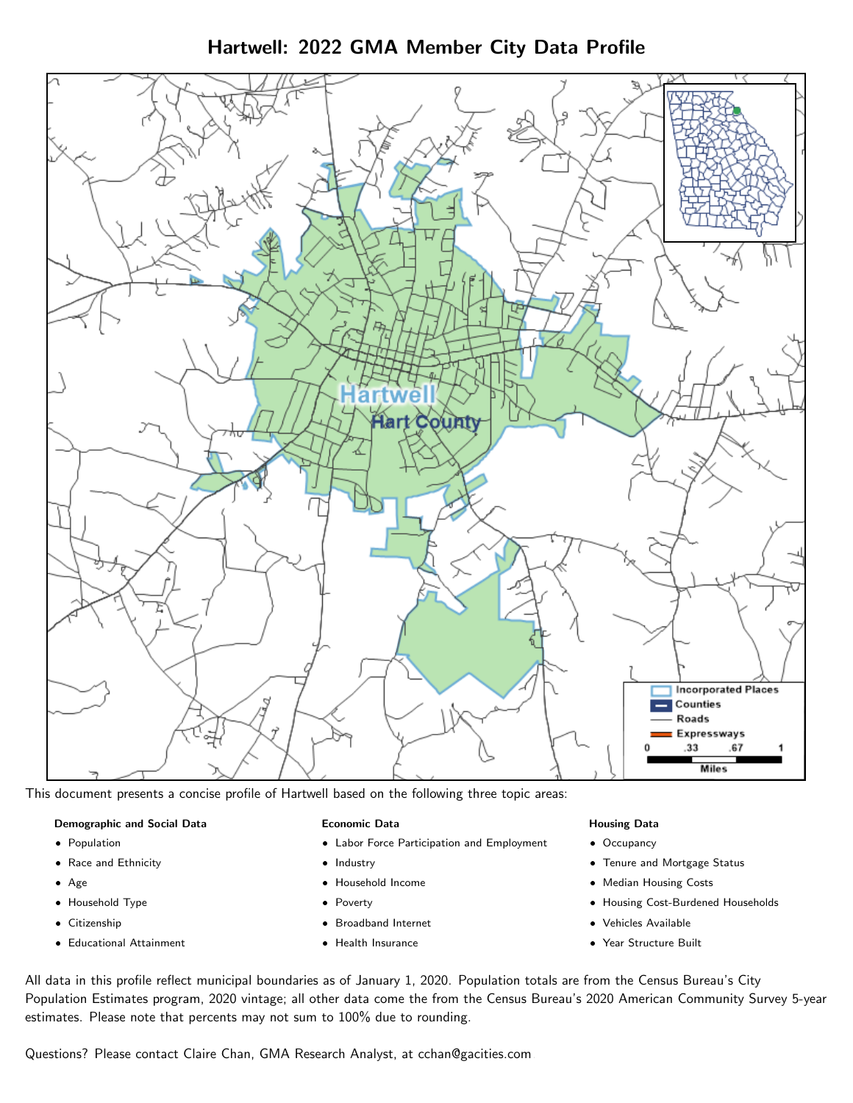Hartwell: 2022 GMA Member City Data Profile



This document presents a concise profile of Hartwell based on the following three topic areas:

### Demographic and Social Data

- **•** Population
- Race and Ethnicity
- Age
- Household Type
- **Citizenship**
- Educational Attainment

### Economic Data

- Labor Force Participation and Employment
- Industry
- Household Income
- Poverty
- Broadband Internet
- Health Insurance

#### Housing Data

- Occupancy
- Tenure and Mortgage Status
- Median Housing Costs
- Housing Cost-Burdened Households
- Vehicles Available
- Year Structure Built

All data in this profile reflect municipal boundaries as of January 1, 2020. Population totals are from the Census Bureau's City Population Estimates program, 2020 vintage; all other data come the from the Census Bureau's 2020 American Community Survey 5-year estimates. Please note that percents may not sum to 100% due to rounding.

Questions? Please contact Claire Chan, GMA Research Analyst, at [cchan@gacities.com.](mailto:cchan@gacities.com)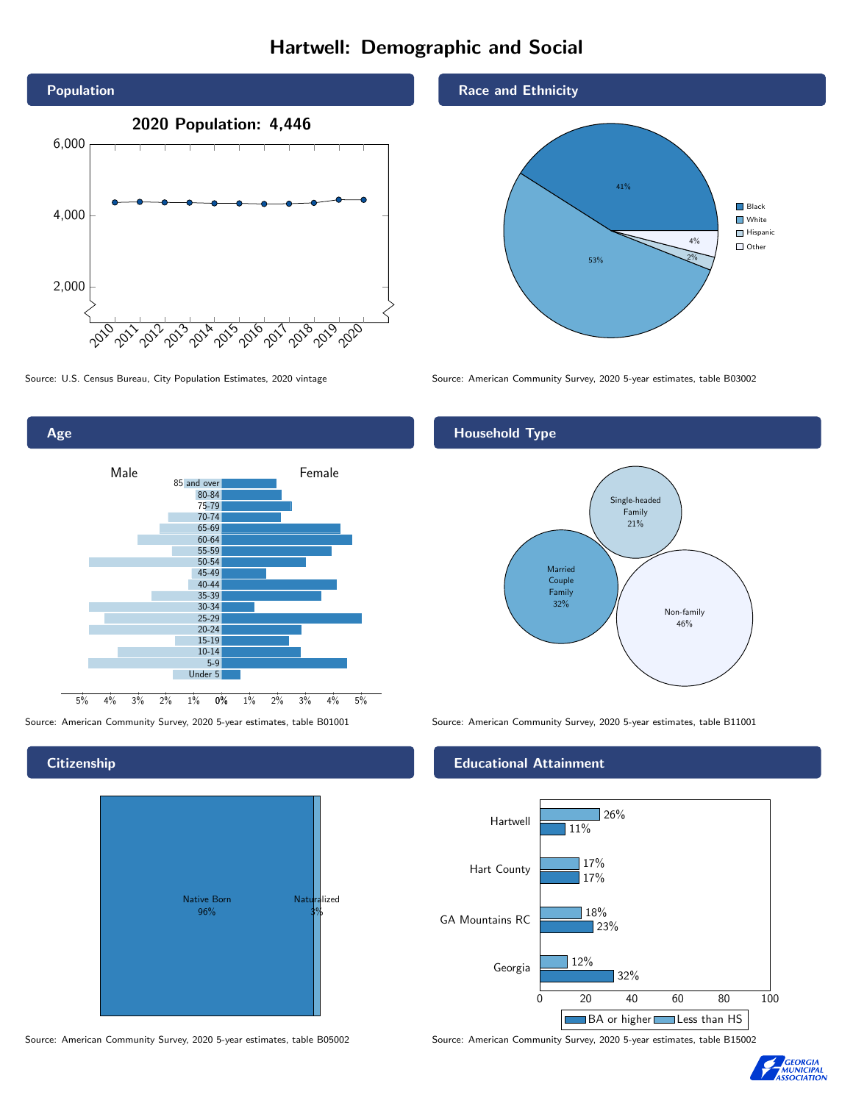# Hartwell: Demographic and Social





**Citizenship** 



Source: American Community Survey, 2020 5-year estimates, table B05002 Source: American Community Survey, 2020 5-year estimates, table B15002

Race and Ethnicity



Source: U.S. Census Bureau, City Population Estimates, 2020 vintage Source: American Community Survey, 2020 5-year estimates, table B03002

## Household Type



Source: American Community Survey, 2020 5-year estimates, table B01001 Source: American Community Survey, 2020 5-year estimates, table B11001

### Educational Attainment



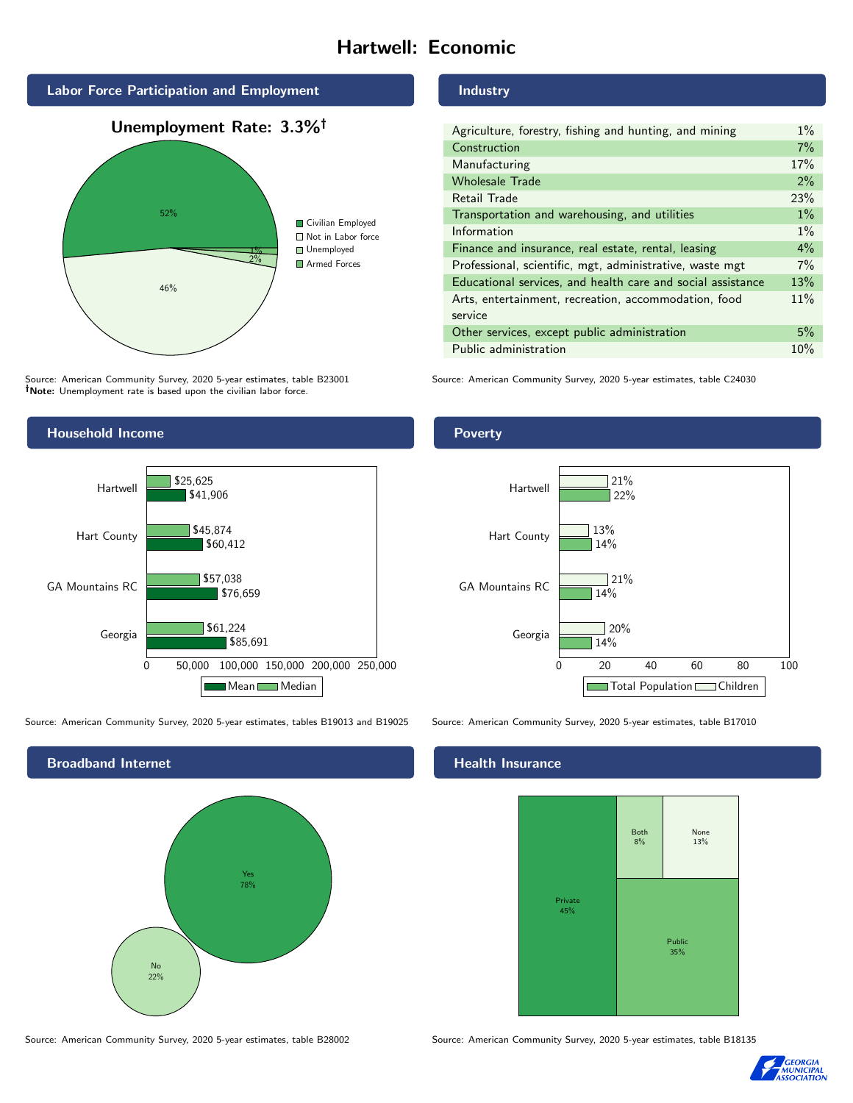# Hartwell: Economic



Source: American Community Survey, 2020 5-year estimates, table B23001 Note: Unemployment rate is based upon the civilian labor force.

### Industry

| Agriculture, forestry, fishing and hunting, and mining      | $1\%$ |
|-------------------------------------------------------------|-------|
| Construction                                                | 7%    |
| Manufacturing                                               | 17%   |
| <b>Wholesale Trade</b>                                      | 2%    |
| Retail Trade                                                | 23%   |
| Transportation and warehousing, and utilities               | $1\%$ |
| Information                                                 | $1\%$ |
| Finance and insurance, real estate, rental, leasing         | 4%    |
| Professional, scientific, mgt, administrative, waste mgt    | 7%    |
| Educational services, and health care and social assistance | 13%   |
| Arts, entertainment, recreation, accommodation, food        | 11%   |
| service                                                     |       |
| Other services, except public administration                | 5%    |
| Public administration                                       | 10%   |

Source: American Community Survey, 2020 5-year estimates, table C24030



Source: American Community Survey, 2020 5-year estimates, tables B19013 and B19025 Source: American Community Survey, 2020 5-year estimates, table B17010



Poverty



### Health Insurance



Source: American Community Survey, 2020 5-year estimates, table B28002 Source: American Community Survey, 2020 5-year estimates, table B18135